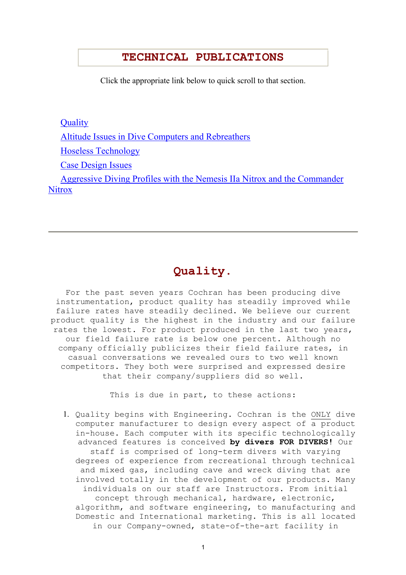#### **TECHNICAL PUBLICATIONS**

Click the appropriate link below to quick scroll to that section.

**Quality** 

Altitude Issues in Dive Computers and Rebreathers

Hoseless Technology

Case Design Issues

 Aggressive Diving Profiles with the Nemesis IIa Nitrox and the Commander **Nitrox** 

## **Quality.**

For the past seven years Cochran has been producing dive instrumentation, product quality has steadily improved while failure rates have steadily declined. We believe our current product quality is the highest in the industry and our failure rates the lowest. For product produced in the last two years, our field failure rate is below one percent. Although no company officially publicizes their field failure rates, in casual conversations we revealed ours to two well known competitors. They both were surprised and expressed desire that their company/suppliers did so well.

This is due in part, to these actions:

1. Quality begins with Engineering. Cochran is the ONLY dive computer manufacturer to design every aspect of a product in-house. Each computer with its specific technologically advanced features is conceived **by divers FOR DIVERS!** Our staff is comprised of long-term divers with varying degrees of experience from recreational through technical and mixed gas, including cave and wreck diving that are involved totally in the development of our products. Many individuals on our staff are Instructors. From initial concept through mechanical, hardware, electronic, algorithm, and software engineering, to manufacturing and Domestic and International marketing. This is all located in our Company-owned, state-of-the-art facility in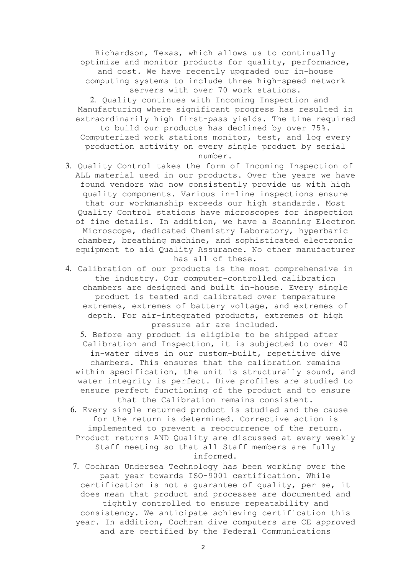Richardson, Texas, which allows us to continually optimize and monitor products for quality, performance, and cost. We have recently upgraded our in-house computing systems to include three high-speed network servers with over 70 work stations.

2. Quality continues with Incoming Inspection and Manufacturing where significant progress has resulted in extraordinarily high first-pass yields. The time required to build our products has declined by over 75%. Computerized work stations monitor, test, and log every production activity on every single product by serial number.

- 3. Quality Control takes the form of Incoming Inspection of ALL material used in our products. Over the years we have found vendors who now consistently provide us with high quality components. Various in-line inspections ensure that our workmanship exceeds our high standards. Most Quality Control stations have microscopes for inspection of fine details. In addition, we have a Scanning Electron Microscope, dedicated Chemistry Laboratory, hyperbaric chamber, breathing machine, and sophisticated electronic equipment to aid Quality Assurance. No other manufacturer has all of these.
- 4. Calibration of our products is the most comprehensive in the industry. Our computer-controlled calibration chambers are designed and built in-house. Every single product is tested and calibrated over temperature extremes, extremes of battery voltage, and extremes of depth. For air-integrated products, extremes of high pressure air are included.

5. Before any product is eligible to be shipped after Calibration and Inspection, it is subjected to over 40 in-water dives in our custom-built, repetitive dive chambers. This ensures that the calibration remains within specification, the unit is structurally sound, and water integrity is perfect. Dive profiles are studied to ensure perfect functioning of the product and to ensure that the Calibration remains consistent.

- 6. Every single returned product is studied and the cause for the return is determined. Corrective action is implemented to prevent a reoccurrence of the return. Product returns AND Quality are discussed at every weekly Staff meeting so that all Staff members are fully informed.
- 7. Cochran Undersea Technology has been working over the past year towards ISO-9001 certification. While certification is not a guarantee of quality, per se, it does mean that product and processes are documented and tightly controlled to ensure repeatability and consistency. We anticipate achieving certification this year. In addition, Cochran dive computers are CE approved and are certified by the Federal Communications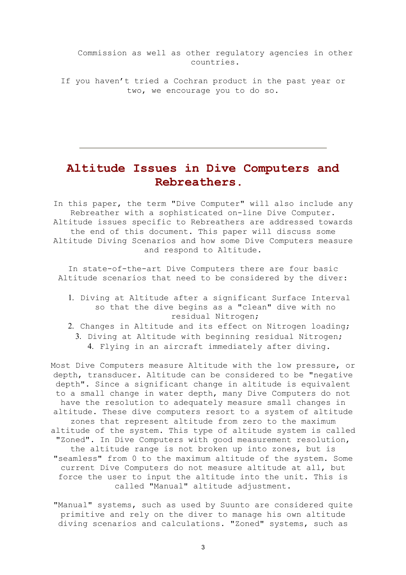Commission as well as other regulatory agencies in other countries.

If you haven't tried a Cochran product in the past year or two, we encourage you to do so.

## **Altitude Issues in Dive Computers and Rebreathers.**

In this paper, the term "Dive Computer" will also include any Rebreather with a sophisticated on-line Dive Computer. Altitude issues specific to Rebreathers are addressed towards the end of this document. This paper will discuss some Altitude Diving Scenarios and how some Dive Computers measure and respond to Altitude.

In state-of-the-art Dive Computers there are four basic Altitude scenarios that need to be considered by the diver:

- 1. Diving at Altitude after a significant Surface Interval so that the dive begins as a "clean" dive with no residual Nitrogen;
- 2. Changes in Altitude and its effect on Nitrogen loading; 3. Diving at Altitude with beginning residual Nitrogen;
	- 4. Flying in an aircraft immediately after diving.

Most Dive Computers measure Altitude with the low pressure, or depth, transducer. Altitude can be considered to be "negative depth". Since a significant change in altitude is equivalent to a small change in water depth, many Dive Computers do not have the resolution to adequately measure small changes in altitude. These dive computers resort to a system of altitude zones that represent altitude from zero to the maximum altitude of the system. This type of altitude system is called "Zoned". In Dive Computers with good measurement resolution, the altitude range is not broken up into zones, but is "seamless" from 0 to the maximum altitude of the system. Some current Dive Computers do not measure altitude at all, but force the user to input the altitude into the unit. This is called "Manual" altitude adjustment.

"Manual" systems, such as used by Suunto are considered quite primitive and rely on the diver to manage his own altitude diving scenarios and calculations. "Zoned" systems, such as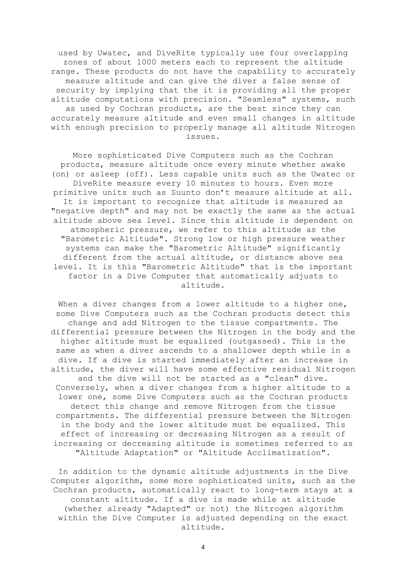used by Uwatec, and DiveRite typically use four overlapping zones of about 1000 meters each to represent the altitude range. These products do not have the capability to accurately measure altitude and can give the diver a false sense of security by implying that the it is providing all the proper altitude computations with precision. "Seamless" systems, such as used by Cochran products, are the best since they can accurately measure altitude and even small changes in altitude with enough precision to properly manage all altitude Nitrogen issues.

More sophisticated Dive Computers such as the Cochran products, measure altitude once every minute whether awake (on) or asleep (off). Less capable units such as the Uwatec or DiveRite measure every 10 minutes to hours. Even more primitive units such as Suunto don't measure altitude at all. It is important to recognize that altitude is measured as "negative depth" and may not be exactly the same as the actual altitude above sea level. Since this altitude is dependent on atmospheric pressure, we refer to this altitude as the "Barometric Altitude". Strong low or high pressure weather systems can make the "Barometric Altitude" significantly different from the actual altitude, or distance above sea level. It is this "Barometric Altitude" that is the important factor in a Dive Computer that automatically adjusts to altitude.

When a diver changes from a lower altitude to a higher one, some Dive Computers such as the Cochran products detect this change and add Nitrogen to the tissue compartments. The differential pressure between the Nitrogen in the body and the higher altitude must be equalized (outgassed). This is the same as when a diver ascends to a shallower depth while in a dive. If a dive is started immediately after an increase in altitude, the diver will have some effective residual Nitrogen and the dive will not be started as a "clean" dive. Conversely, when a diver changes from a higher altitude to a lower one, some Dive Computers such as the Cochran products detect this change and remove Nitrogen from the tissue compartments. The differential pressure between the Nitrogen in the body and the lower altitude must be equalized. This effect of increasing or decreasing Nitrogen as a result of increasing or decreasing altitude is sometimes referred to as "Altitude Adaptation" or "Altitude Acclimatization".

In addition to the dynamic altitude adjustments in the Dive Computer algorithm, some more sophisticated units, such as the Cochran products, automatically react to long-term stays at a constant altitude. If a dive is made while at altitude (whether already "Adapted" or not) the Nitrogen algorithm within the Dive Computer is adjusted depending on the exact altitude.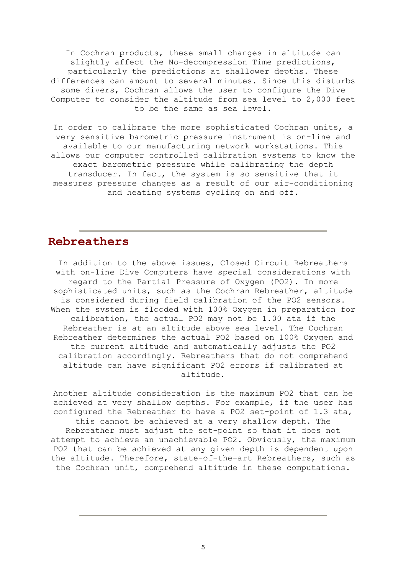In Cochran products, these small changes in altitude can slightly affect the No-decompression Time predictions, particularly the predictions at shallower depths. These differences can amount to several minutes. Since this disturbs some divers, Cochran allows the user to configure the Dive Computer to consider the altitude from sea level to 2,000 feet to be the same as sea level.

In order to calibrate the more sophisticated Cochran units, a very sensitive barometric pressure instrument is on-line and available to our manufacturing network workstations. This allows our computer controlled calibration systems to know the exact barometric pressure while calibrating the depth transducer. In fact, the system is so sensitive that it measures pressure changes as a result of our air-conditioning and heating systems cycling on and off.

#### **Rebreathers**

In addition to the above issues, Closed Circuit Rebreathers with on-line Dive Computers have special considerations with regard to the Partial Pressure of Oxygen (PO2). In more sophisticated units, such as the Cochran Rebreather, altitude is considered during field calibration of the PO2 sensors. When the system is flooded with 100% Oxygen in preparation for calibration, the actual PO2 may not be 1.00 ata if the Rebreather is at an altitude above sea level. The Cochran Rebreather determines the actual PO2 based on 100% Oxygen and the current altitude and automatically adjusts the PO2 calibration accordingly. Rebreathers that do not comprehend altitude can have significant PO2 errors if calibrated at altitude.

Another altitude consideration is the maximum PO2 that can be achieved at very shallow depths. For example, if the user has configured the Rebreather to have a PO2 set-point of 1.3 ata, this cannot be achieved at a very shallow depth. The Rebreather must adjust the set-point so that it does not attempt to achieve an unachievable PO2. Obviously, the maximum PO2 that can be achieved at any given depth is dependent upon the altitude. Therefore, state-of-the-art Rebreathers, such as the Cochran unit, comprehend altitude in these computations.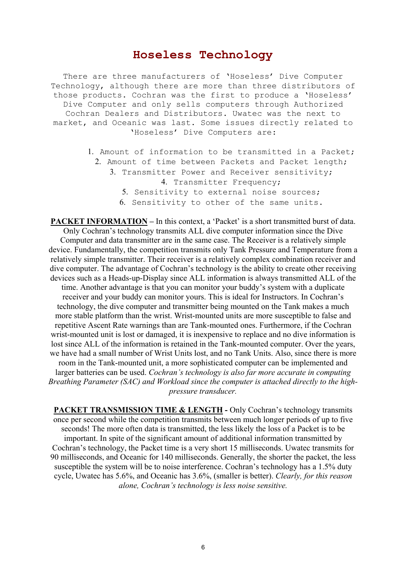#### **Hoseless Technology**

There are three manufacturers of 'Hoseless' Dive Computer Technology, although there are more than three distributors of those products. Cochran was the first to produce a 'Hoseless' Dive Computer and only sells computers through Authorized Cochran Dealers and Distributors. Uwatec was the next to market, and Oceanic was last. Some issues directly related to 'Hoseless' Dive Computers are:

- 1. Amount of information to be transmitted in a Packet;
	- 2. Amount of time between Packets and Packet length; 3. Transmitter Power and Receiver sensitivity;
		- 4. Transmitter Frequency;
			- 5. Sensitivity to external noise sources;
			- 6. Sensitivity to other of the same units.

**PACKET INFORMATION – In this context, a 'Packet' is a short transmitted burst of data.** Only Cochran's technology transmits ALL dive computer information since the Dive Computer and data transmitter are in the same case. The Receiver is a relatively simple device. Fundamentally, the competition transmits only Tank Pressure and Temperature from a relatively simple transmitter. Their receiver is a relatively complex combination receiver and dive computer. The advantage of Cochran's technology is the ability to create other receiving devices such as a Heads-up-Display since ALL information is always transmitted ALL of the time. Another advantage is that you can monitor your buddy's system with a duplicate receiver and your buddy can monitor yours. This is ideal for Instructors. In Cochran's technology, the dive computer and transmitter being mounted on the Tank makes a much more stable platform than the wrist. Wrist-mounted units are more susceptible to false and repetitive Ascent Rate warnings than are Tank-mounted ones. Furthermore, if the Cochran wrist-mounted unit is lost or damaged, it is inexpensive to replace and no dive information is lost since ALL of the information is retained in the Tank-mounted computer. Over the years, we have had a small number of Wrist Units lost, and no Tank Units. Also, since there is more room in the Tank-mounted unit, a more sophisticated computer can be implemented and larger batteries can be used. *Cochran's technology is also far more accurate in computing Breathing Parameter (SAC) and Workload since the computer is attached directly to the highpressure transducer.*

**PACKET TRANSMISSION TIME & LENGTH - Only Cochran's technology transmits** once per second while the competition transmits between much longer periods of up to five seconds! The more often data is transmitted, the less likely the loss of a Packet is to be important. In spite of the significant amount of additional information transmitted by Cochran's technology, the Packet time is a very short 15 milliseconds. Uwatec transmits for 90 milliseconds, and Oceanic for 140 milliseconds. Generally, the shorter the packet, the less susceptible the system will be to noise interference. Cochran's technology has a 1.5% duty cycle, Uwatec has 5.6%, and Oceanic has 3.6%, (smaller is better). *Clearly, for this reason alone, Cochran's technology is less noise sensitive.*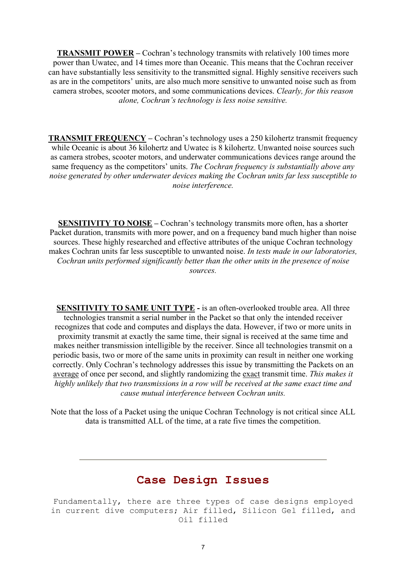**TRANSMIT POWER – Cochran's technology transmits with relatively 100 times more** power than Uwatec, and 14 times more than Oceanic. This means that the Cochran receiver can have substantially less sensitivity to the transmitted signal. Highly sensitive receivers such as are in the competitors' units, are also much more sensitive to unwanted noise such as from camera strobes, scooter motors, and some communications devices. *Clearly, for this reason alone, Cochran's technology is less noise sensitive.*

**TRANSMIT FREQUENCY** – Cochran's technology uses a 250 kilohertz transmit frequency while Oceanic is about 36 kilohertz and Uwatec is 8 kilohertz. Unwanted noise sources such as camera strobes, scooter motors, and underwater communications devices range around the same frequency as the competitors' units. *The Cochran frequency is substantially above any noise generated by other underwater devices making the Cochran units far less susceptible to noise interference.*

**SENSITIVITY TO NOISE** – Cochran's technology transmits more often, has a shorter Packet duration, transmits with more power, and on a frequency band much higher than noise sources. These highly researched and effective attributes of the unique Cochran technology makes Cochran units far less susceptible to unwanted noise. *In tests made in our laboratories, Cochran units performed significantly better than the other units in the presence of noise sources.*

**SENSITIVITY TO SAME UNIT TYPE -** is an often-overlooked trouble area. All three technologies transmit a serial number in the Packet so that only the intended receiver recognizes that code and computes and displays the data. However, if two or more units in proximity transmit at exactly the same time, their signal is received at the same time and makes neither transmission intelligible by the receiver. Since all technologies transmit on a periodic basis, two or more of the same units in proximity can result in neither one working correctly. Only Cochran's technology addresses this issue by transmitting the Packets on an average of once per second, and slightly randomizing the exact transmit time. *This makes it highly unlikely that two transmissions in a row will be received at the same exact time and cause mutual interference between Cochran units.*

Note that the loss of a Packet using the unique Cochran Technology is not critical since ALL data is transmitted ALL of the time, at a rate five times the competition.

### **Case Design Issues**

Fundamentally, there are three types of case designs employed in current dive computers; Air filled, Silicon Gel filled, and Oil filled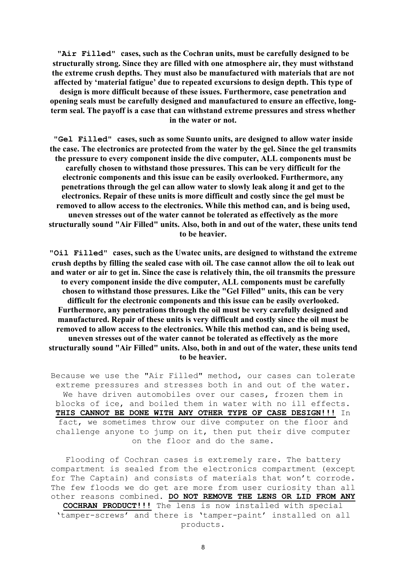**"Air Filled" cases, such as the Cochran units, must be carefully designed to be structurally strong. Since they are filled with one atmosphere air, they must withstand the extreme crush depths. They must also be manufactured with materials that are not affected by 'material fatigue' due to repeated excursions to design depth. This type of design is more difficult because of these issues. Furthermore, case penetration and opening seals must be carefully designed and manufactured to ensure an effective, long-**

**term seal. The payoff is a case that can withstand extreme pressures and stress whether in the water or not.**

**"Gel Filled" cases, such as some Suunto units, are designed to allow water inside the case. The electronics are protected from the water by the gel. Since the gel transmits the pressure to every component inside the dive computer, ALL components must be carefully chosen to withstand those pressures. This can be very difficult for the electronic components and this issue can be easily overlooked. Furthermore, any penetrations through the gel can allow water to slowly leak along it and get to the electronics. Repair of these units is more difficult and costly since the gel must be removed to allow access to the electronics. While this method can, and is being used, uneven stresses out of the water cannot be tolerated as effectively as the more structurally sound "Air Filled" units. Also, both in and out of the water, these units tend to be heavier.**

**"Oil Filled" cases, such as the Uwatec units, are designed to withstand the extreme crush depths by filling the sealed case with oil. The case cannot allow the oil to leak out and water or air to get in. Since the case is relatively thin, the oil transmits the pressure to every component inside the dive computer, ALL components must be carefully chosen to withstand those pressures. Like the "Gel Filled" units, this can be very difficult for the electronic components and this issue can be easily overlooked. Furthermore, any penetrations through the oil must be very carefully designed and manufactured. Repair of these units is very difficult and costly since the oil must be removed to allow access to the electronics. While this method can, and is being used, uneven stresses out of the water cannot be tolerated as effectively as the more structurally sound "Air Filled" units. Also, both in and out of the water, these units tend to be heavier.**

Because we use the "Air Filled" method, our cases can tolerate extreme pressures and stresses both in and out of the water. We have driven automobiles over our cases, frozen them in blocks of ice, and boiled them in water with no ill effects. **THIS CANNOT BE DONE WITH ANY OTHER TYPE OF CASE DESIGN!!!** In fact, we sometimes throw our dive computer on the floor and challenge anyone to jump on it, then put their dive computer on the floor and do the same.

Flooding of Cochran cases is extremely rare. The battery compartment is sealed from the electronics compartment (except for The Captain) and consists of materials that won't corrode. The few floods we do get are more from user curiosity than all other reasons combined. **DO NOT REMOVE THE LENS OR LID FROM ANY COCHRAN PRODUCT!!!** The lens is now installed with special 'tamper-screws' and there is 'tamper-paint' installed on all products.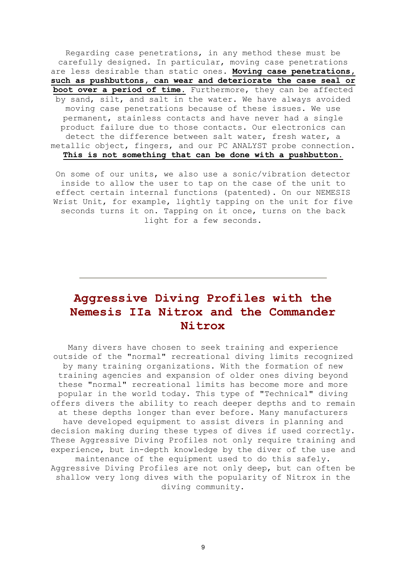Regarding case penetrations, in any method these must be carefully designed. In particular, moving case penetrations are less desirable than static ones. **Moving case penetrations, such as pushbuttons, can wear and deteriorate the case seal or boot over a period of time.** Furthermore, they can be affected by sand, silt, and salt in the water. We have always avoided moving case penetrations because of these issues. We use permanent, stainless contacts and have never had a single product failure due to those contacts. Our electronics can detect the difference between salt water, fresh water, a metallic object, fingers, and our PC ANALYST probe connection. **This is not something that can be done with a pushbutton.**

On some of our units, we also use a sonic/vibration detector inside to allow the user to tap on the case of the unit to effect certain internal functions (patented). On our NEMESIS Wrist Unit, for example, lightly tapping on the unit for five seconds turns it on. Tapping on it once, turns on the back light for a few seconds.

# **Aggressive Diving Profiles with the Nemesis IIa Nitrox and the Commander Nitrox**

Many divers have chosen to seek training and experience outside of the "normal" recreational diving limits recognized by many training organizations. With the formation of new training agencies and expansion of older ones diving beyond these "normal" recreational limits has become more and more popular in the world today. This type of "Technical" diving offers divers the ability to reach deeper depths and to remain at these depths longer than ever before. Many manufacturers have developed equipment to assist divers in planning and decision making during these types of dives if used correctly. These Aggressive Diving Profiles not only require training and experience, but in-depth knowledge by the diver of the use and maintenance of the equipment used to do this safely. Aggressive Diving Profiles are not only deep, but can often be shallow very long dives with the popularity of Nitrox in the diving community.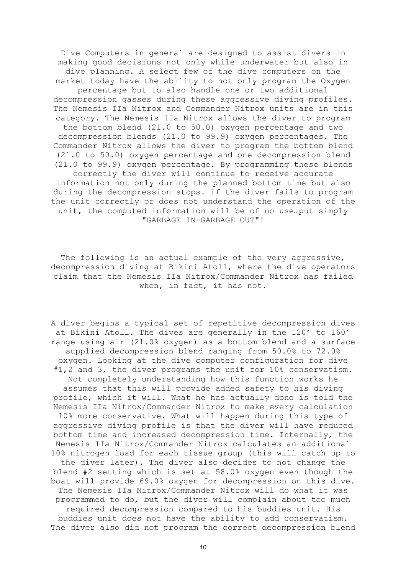Dive Computers in general are designed to assist divers in making good decisions not only while underwater but also in dive planning. A select few of the dive computers on the market today have the ability to not only program the Oxygen percentage but to also handle one or two additional decompression gasses during these aggressive diving profiles. The Nemesis IIa Nitrox and Commander Nitrox units are in this category. The Nemesis IIa Nitrox allows the diver to program the bottom blend (21.0 to 50.0) oxygen percentage and two decompression blends (21.0 to 99.9) oxygen percentages. The Commander Nitrox allows the diver to program the bottom blend (21.0 to 50.0) oxygen percentage and one decompression blend (21.0 to 99.9) oxygen percentage. By programming these blends correctly the diver will continue to receive accurate information not only during the planned bottom time but also during the decompression stops. If the diver fails to program the unit correctly or does not understand the operation of the unit, the computed information will be of no use…put simply "GARBAGE IN-GARBAGE OUT"!

The following is an actual example of the very aggressive, decompression diving at Bikini Atoll, where the dive operators claim that the Nemesis IIa Nitrox/Commander Nitrox has failed when, in fact, it has not.

A diver begins a typical set of repetitive decompression dives at Bikini Atoll. The dives are generally in the 120' to 160' range using air (21.0% oxygen) as a bottom blend and a surface supplied decompression blend ranging from 50.0% to 72.0% oxygen. Looking at the dive computer configuration for dive #1,2 and 3, the diver programs the unit for 10% conservatism. Not completely understanding how this function works he assumes that this will provide added safety to his diving profile, which it will. What he has actually done is told the Nemesis IIa Nitrox/Commander Nitrox to make every calculation 10% more conservative. What will happen during this type of aggressive diving profile is that the diver will have reduced bottom time and increased decompression time. Internally, the Nemesis IIa Nitrox/Commander Nitrox calculates an additional 10% nitrogen load for each tissue group (this will catch up to the diver later). The diver also decides to not change the blend #2 setting which is set at 58.0% oxygen even though the boat will provide 69.0% oxygen for decompression on this dive. The Nemesis IIa Nitrox/Commander Nitrox will do what it was programmed to do, but the diver will complain about too much required decompression compared to his buddies unit. His buddies unit does not have the ability to add conservatism. The diver also did not program the correct decompression blend